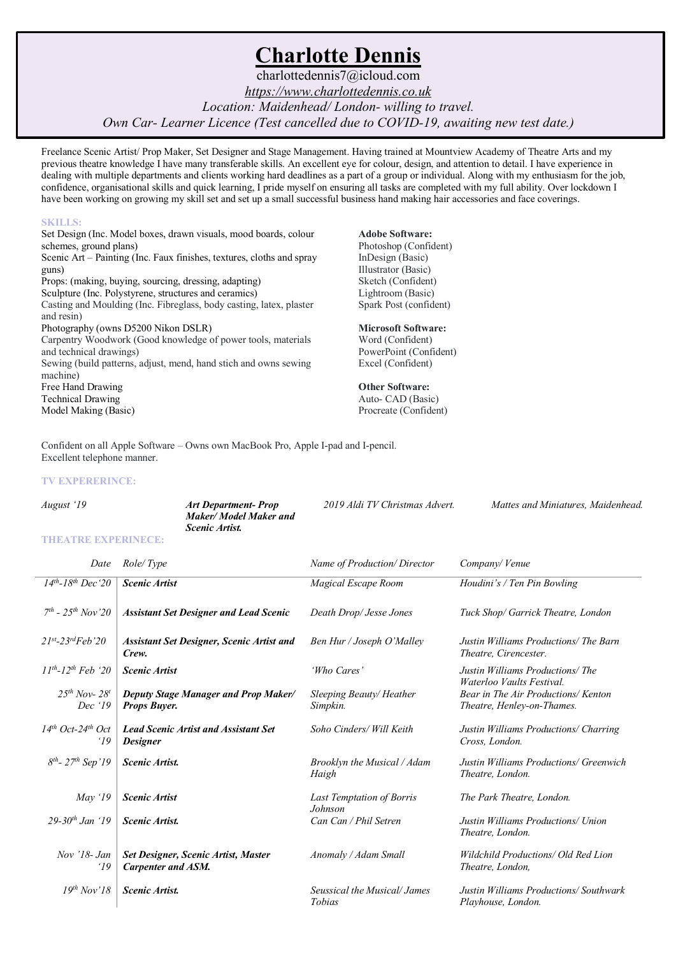# **Charlotte Dennis**

charlottedennis7@icloud.com *https://www.charlottedennis.co.uk Location: Maidenhead/ London- willing to travel. Own Car- Learner Licence (Test cancelled due to COVID-19, awaiting new test date.)*

Freelance Scenic Artist/ Prop Maker, Set Designer and Stage Management. Having trained at Mountview Academy of Theatre Arts and my previous theatre knowledge I have many transferable skills. An excellent eye for colour, design, and attention to detail. I have experience in dealing with multiple departments and clients working hard deadlines as a part of a group or individual. Along with my enthusiasm for the job, confidence, organisational skills and quick learning, I pride myself on ensuring all tasks are completed with my full ability. Over lockdown I have been working on growing my skill set and set up a small successful business hand making hair accessories and face coverings.

#### **SKILLS:**

Set Design (Inc. Model boxes, drawn visuals, mood boards, colour schemes, ground plans) Scenic Art – Painting (Inc. Faux finishes, textures, cloths and spray guns) Props: (making, buying, sourcing, dressing, adapting) Sculpture (Inc. Polystyrene, structures and ceramics) Casting and Moulding (Inc. Fibreglass, body casting, latex, plaster and resin) Photography (owns D5200 Nikon DSLR) Carpentry Woodwork (Good knowledge of power tools, materials and technical drawings) Sewing (build patterns, adjust, mend, hand stich and owns sewing machine) Free Hand Drawing Technical Drawing Model Making (Basic)

**Adobe Software:**  Photoshop (Confident) InDesign (Basic) Illustrator (Basic) Sketch (Confident)

Lightroom (Basic)

## Spark Post (confident) **Microsoft Software:**

Word (Confident) PowerPoint (Confident) Excel (Confident)

#### **Other Software:**

Auto- CAD (Basic) Procreate (Confident)

Confident on all Apple Software – Owns own MacBook Pro, Apple I-pad and I-pencil. Excellent telephone manner.

#### **TV EXPERERINCE:**

| August '19                 | Art Department-Prop   | 2019 Aldi TV Christmas Advert. | Mattes and Miniatures, Maidenhead. |
|----------------------------|-----------------------|--------------------------------|------------------------------------|
|                            | Maker/Model Maker and |                                |                                    |
|                            | <i>Scenic Artist.</i> |                                |                                    |
| <b>THEATRE EXPERINECE:</b> |                       |                                |                                    |

| Date                                     | Role/Type                                                      | Name of Production/Director                   | Company/Venue                                                     |
|------------------------------------------|----------------------------------------------------------------|-----------------------------------------------|-------------------------------------------------------------------|
| $14^{th}$ -18 <sup>th</sup> Dec '20      | <b>Scenic Artist</b>                                           | Magical Escape Room                           | Houdini's / Ten Pin Bowling                                       |
| $7th - 25th Nov 20$                      | <b>Assistant Set Designer and Lead Scenic</b>                  | Death Drop/ Jesse Jones                       | Tuck Shop/ Garrick Theatre, London                                |
| $21^{st} - 23^{rd} Feb$ '20              | <b>Assistant Set Designer, Scenic Artist and</b><br>Crew.      | Ben Hur / Joseph O'Malley                     | Justin Williams Productions/ The Barn<br>Theatre, Cirencester.    |
| $11^{th}$ -12 <sup>th</sup> Feb '20      | <b>Scenic Artist</b>                                           | 'Who Cares'                                   | Justin Williams Productions/The<br>Waterloo Vaults Festival.      |
| $25^{th}$ Nov- $28^{t}$<br>Dec '19       | <b>Deputy Stage Manager and Prop Maker/</b><br>Props Buyer.    | Sleeping Beauty/Heather<br>Simpkin.           | Bear in The Air Productions/ Kenton<br>Theatre, Henley-on-Thames. |
| $14^{th}$ Oct-24 <sup>th</sup> Oct<br>19 | <b>Lead Scenic Artist and Assistant Set</b><br><b>Designer</b> | Soho Cinders/ Will Keith                      | Justin Williams Productions/ Charring<br>Cross, London.           |
| $8^{th}$ - 27 <sup>th</sup> Sep'19       | <b>Scenic Artist.</b>                                          | Brooklyn the Musical / Adam<br>Haigh          | Justin Williams Productions/ Greenwich<br>Theatre, London.        |
| May $'19$                                | <b>Scenic Artist</b>                                           | <b>Last Temptation of Borris</b><br>Johnson   | The Park Theatre, London.                                         |
| $29 - 30$ <sup>th</sup> Jan '19          | <b>Scenic Artist</b>                                           | Can Can / Phil Setren                         | Justin Williams Productions/ Union<br>Theatre, London.            |
| Nov $'18$ - Jan<br><i>'19</i>            | Set Designer, Scenic Artist, Master<br>Carpenter and ASM.      | Anomaly / Adam Small                          | Wildchild Productions/ Old Red Lion<br>Theatre, London,           |
| $19th$ Nov'18                            | <b>Scenic Artist</b>                                           | Seussical the Musical/ James<br><b>Tobias</b> | Justin Williams Productions/Southwark<br>Playhouse, London.       |